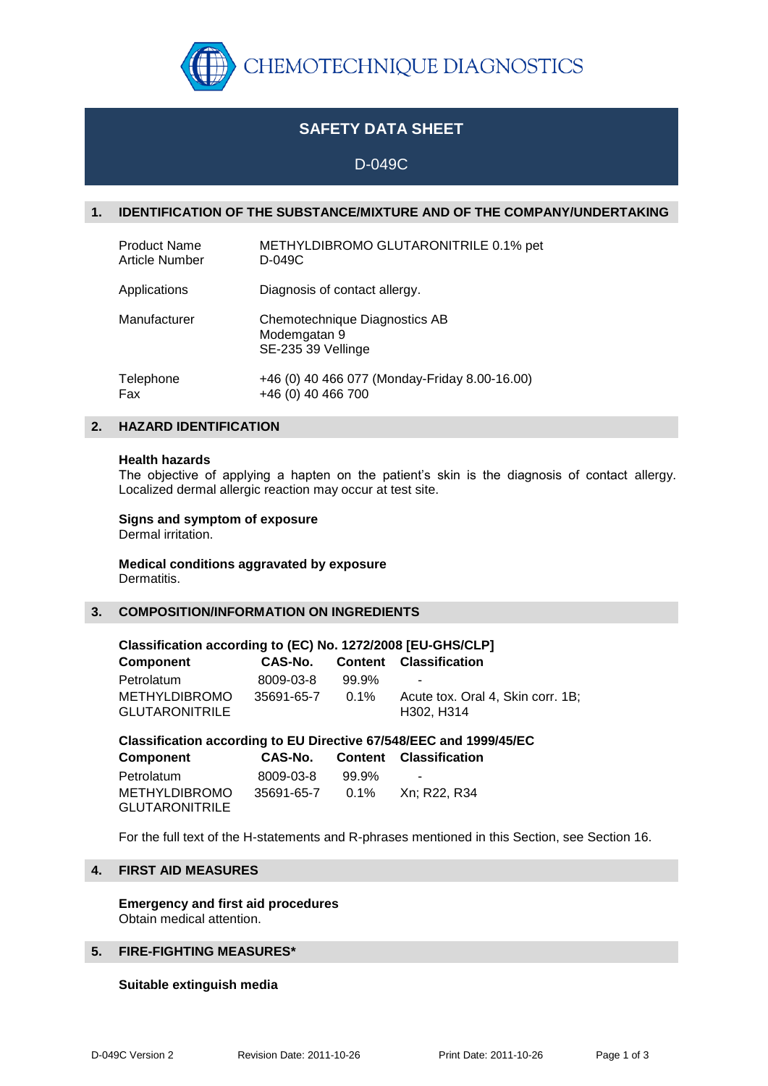

# **SAFETY DATA SHEET**

# D-049C

## **1. IDENTIFICATION OF THE SUBSTANCE/MIXTURE AND OF THE COMPANY/UNDERTAKING**

| <b>Product Name</b>   | METHYLDIBROMO GLUTARONITRILE 0.1% pet                               |
|-----------------------|---------------------------------------------------------------------|
| <b>Article Number</b> | D-049C                                                              |
| Applications          | Diagnosis of contact allergy.                                       |
| Manufacturer          | Chemotechnique Diagnostics AB<br>Modemgatan 9<br>SE-235 39 Vellinge |
| Telephone             | +46 (0) 40 466 077 (Monday-Friday 8.00-16.00)                       |
| Fax                   | +46 (0) 40 466 700                                                  |

## **2. HAZARD IDENTIFICATION**

#### **Health hazards**

The objective of applying a hapten on the patient's skin is the diagnosis of contact allergy. Localized dermal allergic reaction may occur at test site.

## **Signs and symptom of exposure**

Dermal irritation.

#### **Medical conditions aggravated by exposure** Dermatitis.

## **3. COMPOSITION/INFORMATION ON INGREDIENTS**

| Classification according to (EC) No. 1272/2008 [EU-GHS/CLP] |            |         |                                                 |  |  |
|-------------------------------------------------------------|------------|---------|-------------------------------------------------|--|--|
| <b>Component</b>                                            | CAS-No.    |         | <b>Content Classification</b>                   |  |  |
| Petrolatum                                                  | 8009-03-8  | 99.9%   | $\sim$                                          |  |  |
| <b>METHYLDIBROMO</b><br><b>GLUTARONITRILE</b>               | 35691-65-7 | $0.1\%$ | Acute tox. Oral 4, Skin corr. 1B;<br>H302, H314 |  |  |

**Classification according to EU Directive 67/548/EEC and 1999/45/EC**

| <b>Component</b>                              | CAS-No.    |         | <b>Content Classification</b> |
|-----------------------------------------------|------------|---------|-------------------------------|
| Petrolatum                                    | 8009-03-8  | 99.9%   | $\sim$                        |
| <b>METHYLDIBROMO</b><br><b>GLUTARONITRILE</b> | 35691-65-7 | $0.1\%$ | Xn: R22. R34                  |

For the full text of the H-statements and R-phrases mentioned in this Section, see Section 16.

# **4. FIRST AID MEASURES**

**Emergency and first aid procedures** Obtain medical attention.

## **5. FIRE-FIGHTING MEASURES\***

#### **Suitable extinguish media**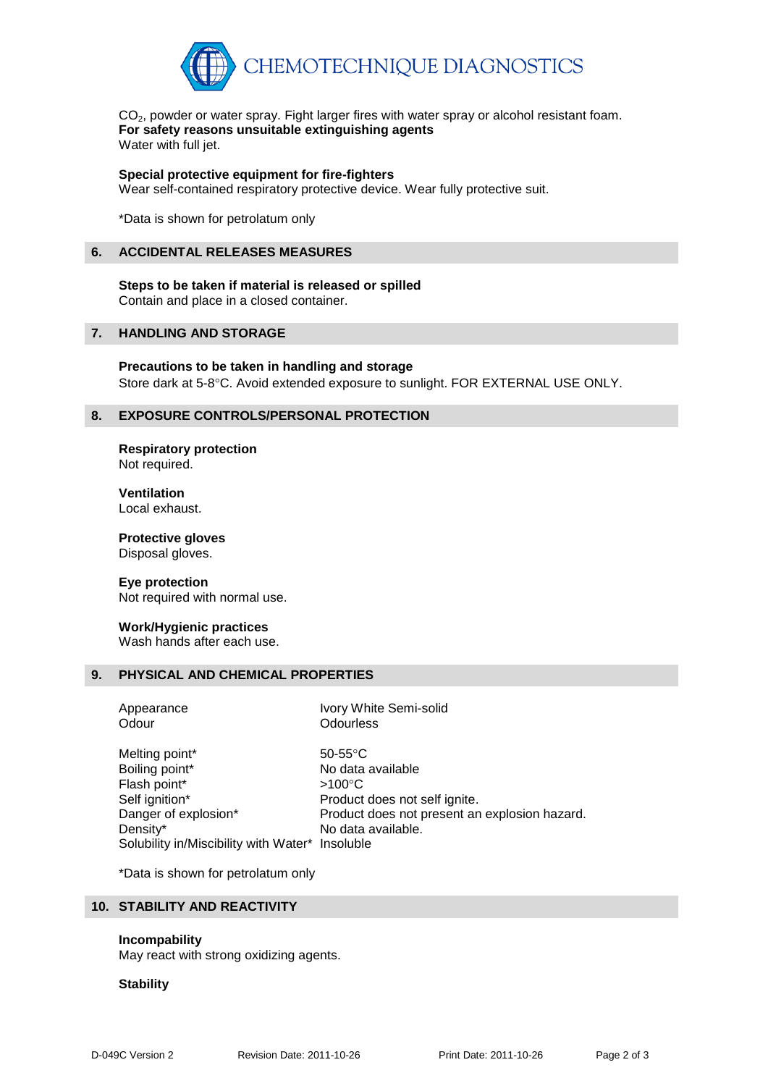

 $CO<sub>2</sub>$ , powder or water spray. Fight larger fires with water spray or alcohol resistant foam. **For safety reasons unsuitable extinguishing agents** Water with full jet.

**Special protective equipment for fire-fighters**

Wear self-contained respiratory protective device. Wear fully protective suit.

\*Data is shown for petrolatum only

### **6. ACCIDENTAL RELEASES MEASURES**

# **Steps to be taken if material is released or spilled**

Contain and place in a closed container.

## **7. HANDLING AND STORAGE**

**Precautions to be taken in handling and storage** Store dark at 5-8°C. Avoid extended exposure to sunlight. FOR EXTERNAL USE ONLY.

## **8. EXPOSURE CONTROLS/PERSONAL PROTECTION**

**Respiratory protection** Not required.

**Ventilation** Local exhaust.

**Protective gloves** Disposal gloves.

#### **Eye protection**

Not required with normal use.

#### **Work/Hygienic practices**

Wash hands after each use.

## **9. PHYSICAL AND CHEMICAL PROPERTIES**

Odour **Odourless** 

Appearance Ivory White Semi-solid

Melting point\* 50-55°C Boiling point\* No data available Flash point\*  $>100^{\circ}$ C Self ignition\* Product does not self ignite. Danger of explosion\* Product does not present an explosion hazard. Density\* No data available. Solubility in/Miscibility with Water\* Insoluble

\*Data is shown for petrolatum only

## **10. STABILITY AND REACTIVITY**

#### **Incompability**

May react with strong oxidizing agents.

#### **Stability**